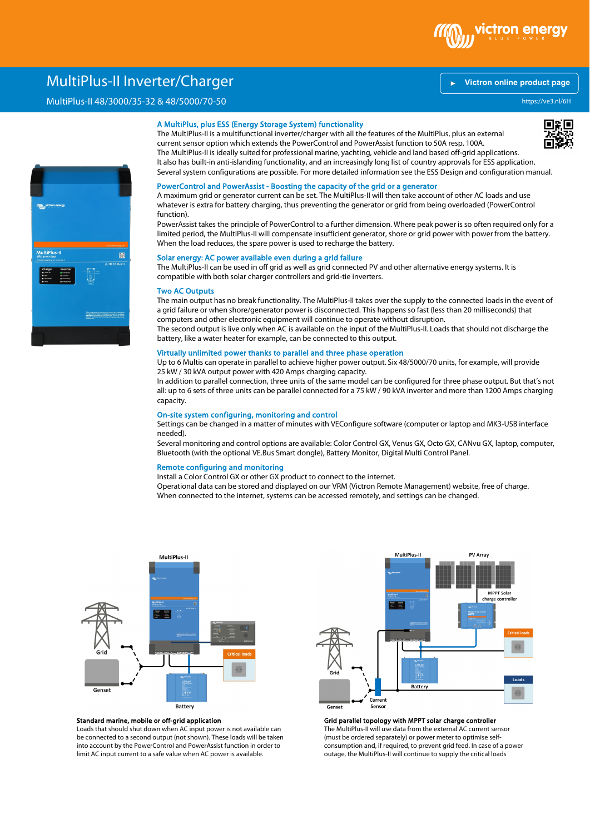

# \ MultiPlus-II Inverter/Charger

## MultiPlus-II 48/3000/35-32 & 48/5000/70-50

## A MultiPlus, plus ESS (Energy Storage System) functionality

The MultiPlus-II is a multifunctional inverter/charger with all the features of the MultiPlus, plus an external current sensor option which extends the PowerControl and PowerAssist function to 50A resp. 100A. The MultiPlus-II is ideally suited for professional marine, yachting, vehicle and land based off-grid applications. It also has built-in anti-islanding functionality, and an increasingly long list of country approvals for ESS application. Several system configurations are possible. For more detailed information see the ESS Design and configuration manual.

#### PowerControl and PowerAssist - Boosting the capacity of the grid or a generator

A maximum grid or generator current can be set. The MultiPlus-II will then take account of other AC loads and use whatever is extra for battery charging, thus preventing the generator or grid from being overloaded (PowerControl function).

PowerAssist takes the principle of PowerControl to a further dimension. Where peak power is so often required only for a limited period, the MultiPlus-II will compensate insufficient generator, shore or grid power with power from the battery. When the load reduces, the spare power is used to recharge the battery.

## Solar energy: AC power available even during a grid failure

The MultiPlus-II can be used in off grid as well as grid connected PV and other alternative energy systems. It is compatible with both solar charger controllers and grid-tie inverters.

#### Two AC Outputs

The main output has no break functionality. The MultiPlus-II takes over the supply to the connected loads in the event of a grid failure or when shore/generator power is disconnected. This happens so fast (less than 20 milliseconds) that computers and other electronic equipment will continue to operate without disruption. The second output is live only when AC is available on the input of the MultiPlus-II. Loads that should not discharge the battery, like a water heater for example, can be connected to this output.

## Virtually unlimited power thanks to parallel and three phase operation

Up to 6 Multis can operate in parallel to achieve higher power output. Six 48/5000/70 units, for example, will provide 25 kW / 30 kVA output power with 420 Amps charging capacity.

In addition to parallel connection, three units of the same model can be configured for three phase output. But that's not all: up to 6 sets of three units can be parallel connected for a 75 kW / 90 kVA inverter and more than 1200 Amps charging capacity.

#### On-site system configuring, monitoring and control

Settings can be changed in a matter of minutes with VEConfigure software (computer or laptop and MK3-USB interface needed).

Several monitoring and control options are available: Color Control GX, Venus GX, Octo GX, CANvu GX, laptop, computer, Bluetooth (with the optional VE.Bus Smart dongle), Battery Monitor, Digital Multi Control Panel.

### Remote configuring and monitoring

Install a Color Control GX or other GX product to connect to the internet.

Operational data can be stored and displayed on our VRM (Victron Remote Management) website, free of charge. When connected to the internet, systems can be accessed remotely, and settings can be changed.



### Standard marine, mobile or off-grid application

Loads that should shut down when AC input power is not available can be connected to a second output (not shown). These loads will be taken into account by the PowerControl and PowerAssist function in order to limit AC input current to a safe value when AC power is available.



Grid parallel topology with MPPT solar charge controller The MultiPlus-II will use data from the external AC current sensor (must be ordered separately) or power meter to optimise selfconsumption and, if required, to prevent grid feed. In case of a power outage, the MultiPlus-II will continue to supply the critical loads



### **[Victron online product page](https://ve3.nl/6H)**

https://ve3.nl/6H